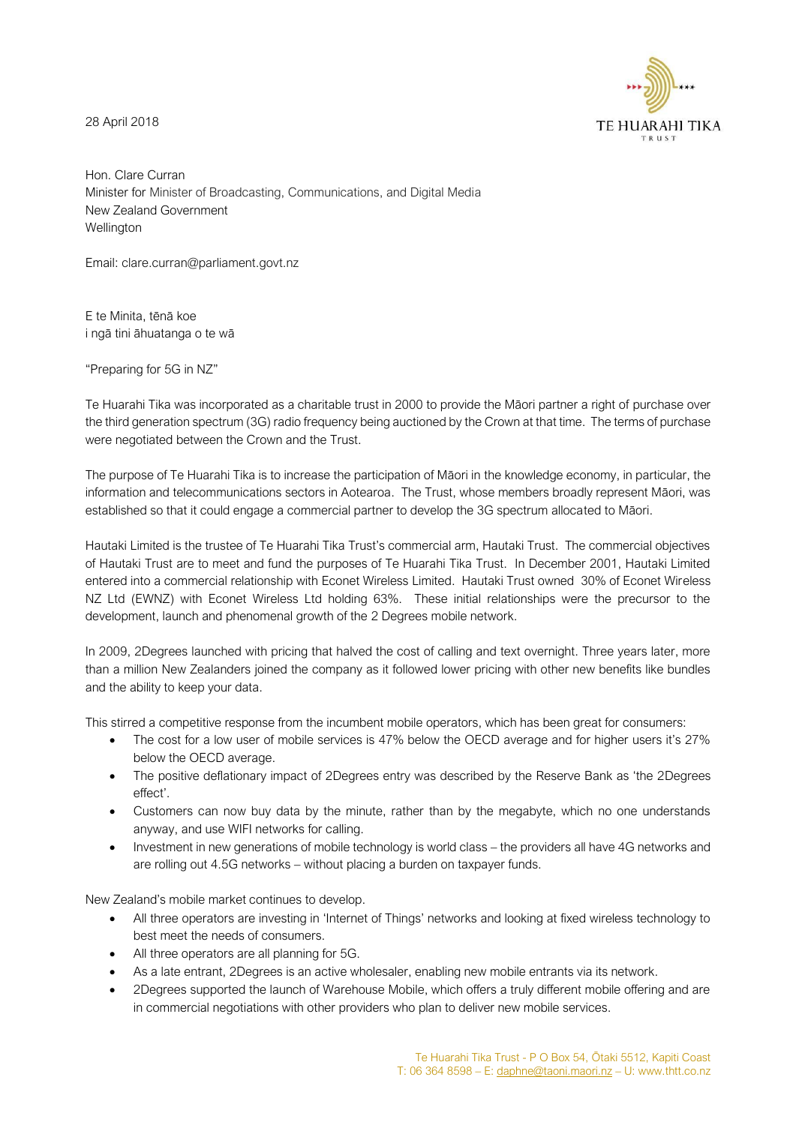28 April 2018



Hon. Clare Curran Minister for Minister of Broadcasting, Communications, and Digital Media New Zealand Government **Wellington** 

Email: [clare.curran@parliament.govt.nz](mailto:clare.curran@parliament.govt.nz)

E te Minita, tēnā koe i ngā tini āhuatanga o te wā

"Preparing for 5G in NZ"

Te Huarahi Tika was incorporated as a charitable trust in 2000 to provide the Māori partner a right of purchase over the third generation spectrum (3G) radio frequency being auctioned by the Crown at that time. The terms of purchase were negotiated between the Crown and the Trust.

The purpose of Te Huarahi Tika is to increase the participation of Māori in the knowledge economy, in particular, the information and telecommunications sectors in Aotearoa. The Trust, whose members broadly represent Māori, was established so that it could engage a commercial partner to develop the 3G spectrum allocated to Māori.

Hautaki Limited is the trustee of Te Huarahi Tika Trust's commercial arm, Hautaki Trust. The commercial objectives of Hautaki Trust are to meet and fund the purposes of Te Huarahi Tika Trust. In December 2001, Hautaki Limited entered into a commercial relationship with Econet Wireless Limited. Hautaki Trust owned 30% of Econet Wireless NZ Ltd (EWNZ) with Econet Wireless Ltd holding 63%. These initial relationships were the precursor to the development, launch and phenomenal growth of the 2 Degrees mobile network.

In 2009, 2Degrees launched with pricing that halved the cost of calling and text overnight. Three years later, more than a million New Zealanders joined the company as it followed lower pricing with other new benefits like bundles and the ability to keep your data.

This stirred a competitive response from the incumbent mobile operators, which has been great for consumers:

- The cost for a low user of mobile services is 47% below the OECD average and for higher users it's 27% below the OECD average.
- The positive deflationary impact of 2Degrees entry was described by the Reserve Bank as 'the 2Degrees effect'.
- Customers can now buy data by the minute, rather than by the megabyte, which no one understands anyway, and use WIFI networks for calling.
- Investment in new generations of mobile technology is world class the providers all have 4G networks and are rolling out 4.5G networks – without placing a burden on taxpayer funds.

New Zealand's mobile market continues to develop.

- All three operators are investing in 'Internet of Things' networks and looking at fixed wireless technology to best meet the needs of consumers.
- All three operators are all planning for 5G.
- As a late entrant, 2Degrees is an active wholesaler, enabling new mobile entrants via its network.
- 2Degrees supported the launch of Warehouse Mobile, which offers a truly different mobile offering and are in commercial negotiations with other providers who plan to deliver new mobile services.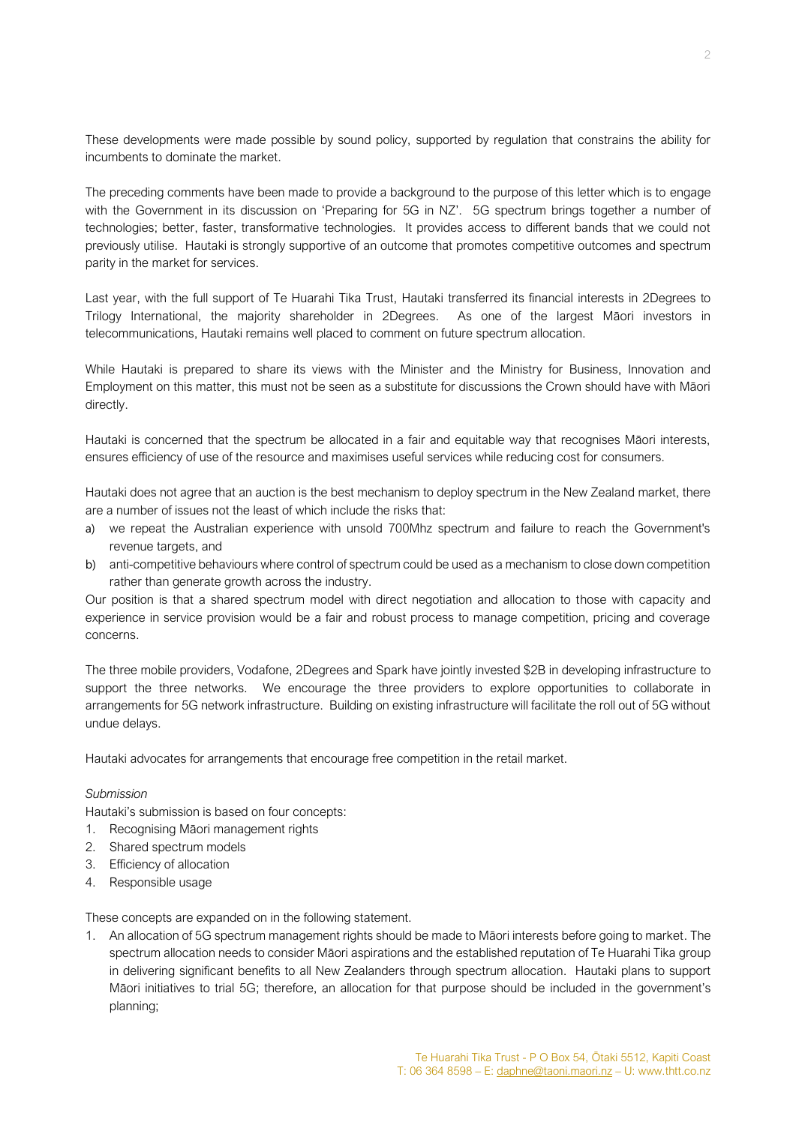These developments were made possible by sound policy, supported by regulation that constrains the ability for incumbents to dominate the market.

The preceding comments have been made to provide a background to the purpose of this letter which is to engage with the Government in its discussion on 'Preparing for 5G in NZ'. 5G spectrum brings together a number of technologies; better, faster, transformative technologies. It provides access to different bands that we could not previously utilise. Hautaki is strongly supportive of an outcome that promotes competitive outcomes and spectrum parity in the market for services.

Last year, with the full support of Te Huarahi Tika Trust, Hautaki transferred its financial interests in 2Degrees to Trilogy International, the majority shareholder in 2Degrees. As one of the largest Māori investors in telecommunications, Hautaki remains well placed to comment on future spectrum allocation.

While Hautaki is prepared to share its views with the Minister and the Ministry for Business, Innovation and Employment on this matter, this must not be seen as a substitute for discussions the Crown should have with Māori directly.

Hautaki is concerned that the spectrum be allocated in a fair and equitable way that recognises Māori interests, ensures efficiency of use of the resource and maximises useful services while reducing cost for consumers.

Hautaki does not agree that an auction is the best mechanism to deploy spectrum in the New Zealand market, there are a number of issues not the least of which include the risks that:

- a) we repeat the Australian experience with unsold 700Mhz spectrum and failure to reach the Government's revenue targets, and
- b) anti-competitive behaviours where control of spectrum could be used as a mechanism to close down competition rather than generate growth across the industry.

Our position is that a shared spectrum model with direct negotiation and allocation to those with capacity and experience in service provision would be a fair and robust process to manage competition, pricing and coverage concerns.

The three mobile providers, Vodafone, 2Degrees and Spark have jointly invested \$2B in developing infrastructure to support the three networks. We encourage the three providers to explore opportunities to collaborate in arrangements for 5G network infrastructure. Building on existing infrastructure will facilitate the roll out of 5G without undue delays.

Hautaki advocates for arrangements that encourage free competition in the retail market.

# *Submission*

Hautaki's submission is based on four concepts:

- 1. Recognising Māori management rights
- 2. Shared spectrum models
- 3. Efficiency of allocation
- 4. Responsible usage

These concepts are expanded on in the following statement.

1. An allocation of 5G spectrum management rights should be made to Māori interests before going to market. The spectrum allocation needs to consider Māori aspirations and the established reputation of Te Huarahi Tika group in delivering significant benefits to all New Zealanders through spectrum allocation. Hautaki plans to support Māori initiatives to trial 5G; therefore, an allocation for that purpose should be included in the government's planning;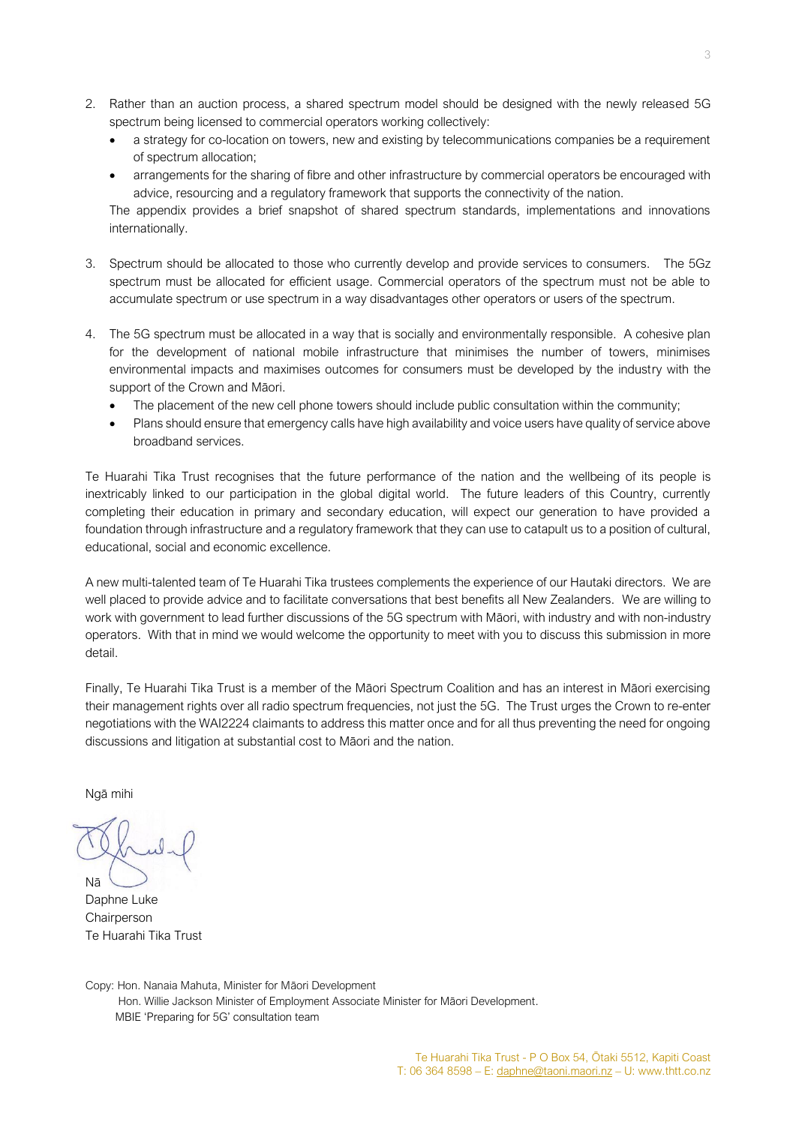- 2. Rather than an auction process, a shared spectrum model should be designed with the newly released 5G spectrum being licensed to commercial operators working collectively:
	- a strategy for co-location on towers, new and existing by telecommunications companies be a requirement of spectrum allocation;
	- arrangements for the sharing of fibre and other infrastructure by commercial operators be encouraged with advice, resourcing and a regulatory framework that supports the connectivity of the nation.

The appendix provides a brief snapshot of shared spectrum standards, implementations and innovations internationally.

- 3. Spectrum should be allocated to those who currently develop and provide services to consumers. The 5Gz spectrum must be allocated for efficient usage. Commercial operators of the spectrum must not be able to accumulate spectrum or use spectrum in a way disadvantages other operators or users of the spectrum.
- 4. The 5G spectrum must be allocated in a way that is socially and environmentally responsible. A cohesive plan for the development of national mobile infrastructure that minimises the number of towers, minimises environmental impacts and maximises outcomes for consumers must be developed by the industry with the support of the Crown and Māori.
	- The placement of the new cell phone towers should include public consultation within the community;
	- Plans should ensure that emergency calls have high availability and voice users have quality of service above broadband services.

Te Huarahi Tika Trust recognises that the future performance of the nation and the wellbeing of its people is inextricably linked to our participation in the global digital world. The future leaders of this Country, currently completing their education in primary and secondary education, will expect our generation to have provided a foundation through infrastructure and a regulatory framework that they can use to catapult us to a position of cultural, educational, social and economic excellence.

A new multi-talented team of Te Huarahi Tika trustees complements the experience of our Hautaki directors. We are well placed to provide advice and to facilitate conversations that best benefits all New Zealanders. We are willing to work with government to lead further discussions of the 5G spectrum with Māori, with industry and with non-industry operators. With that in mind we would welcome the opportunity to meet with you to discuss this submission in more detail.

Finally, Te Huarahi Tika Trust is a member of the Māori Spectrum Coalition and has an interest in Māori exercising their management rights over all radio spectrum frequencies, not just the 5G. The Trust urges the Crown to re-enter negotiations with the WAI2224 claimants to address this matter once and for all thus preventing the need for ongoing discussions and litigation at substantial cost to Māori and the nation.

Ngā mihi

Nā

Daphne Luke **Chairperson** Te Huarahi Tika Trust

Copy: Hon. Nanaia Mahuta, Minister for Māori Development Hon. Willie Jackson Minister of Employment Associate Minister for Māori Development. MBIE 'Preparing for 5G' consultation team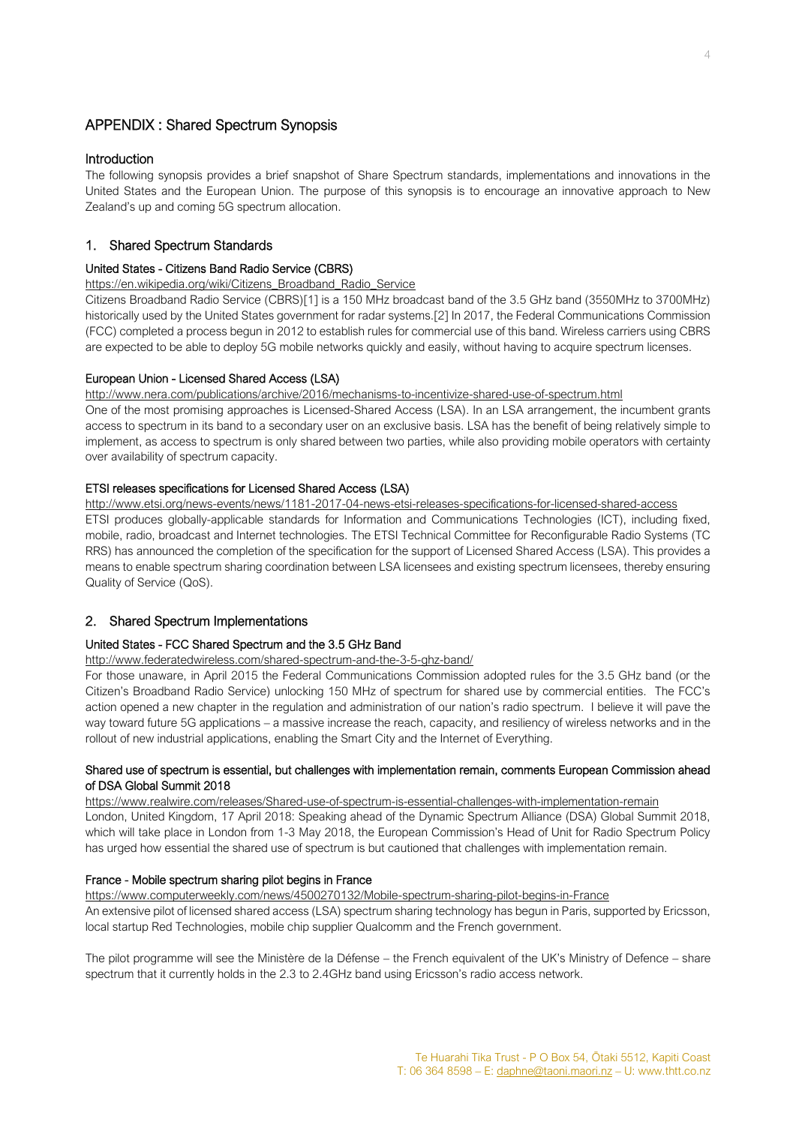# APPENDIX : Shared Spectrum Synopsis

### **Introduction**

The following synopsis provides a brief snapshot of Share Spectrum standards, implementations and innovations in the United States and the European Union. The purpose of this synopsis is to encourage an innovative approach to New Zealand's up and coming 5G spectrum allocation.

# 1. Shared Spectrum Standards

# United States - Citizens Band Radio Service (CBRS)

[https://en.wikipedia.org/wiki/Citizens\\_Broadband\\_Radio\\_Service](https://en.wikipedia.org/wiki/Citizens_Broadband_Radio_Service)

Citizens Broadband Radio Service (CBRS)[1] is a 150 MHz broadcast band of the 3.5 GHz band (3550MHz to 3700MHz) historically used by the United States government for radar systems.[2] In 2017, the Federal Communications Commission (FCC) completed a process begun in 2012 to establish rules for commercial use of this band. Wireless carriers using CBRS are expected to be able to deploy 5G mobile networks quickly and easily, without having to acquire spectrum licenses.

### European Union - Licensed Shared Access (LSA)

<http://www.nera.com/publications/archive/2016/mechanisms-to-incentivize-shared-use-of-spectrum.html>

One of the most promising approaches is Licensed-Shared Access (LSA). In an LSA arrangement, the incumbent grants access to spectrum in its band to a secondary user on an exclusive basis. LSA has the benefit of being relatively simple to implement, as access to spectrum is only shared between two parties, while also providing mobile operators with certainty over availability of spectrum capacity.

# ETSI releases specifications for Licensed Shared Access (LSA)

<http://www.etsi.org/news-events/news/1181-2017-04-news-etsi-releases-specifications-for-licensed-shared-access> ETSI produces globally-applicable standards for Information and Communications Technologies (ICT), including fixed, mobile, radio, broadcast and Internet technologies. The ETSI Technical Committee for Reconfigurable Radio Systems (TC RRS) has announced the completion of the specification for the support of Licensed Shared Access (LSA). This provides a means to enable spectrum sharing coordination between LSA licensees and existing spectrum licensees, thereby ensuring Quality of Service (QoS).

# 2. Shared Spectrum Implementations

#### United States - FCC Shared Spectrum and the 3.5 GHz Band

<http://www.federatedwireless.com/shared-spectrum-and-the-3-5-ghz-band/>

For those unaware, in April 2015 the Federal Communications Commission adopted rules for the 3.5 GHz band (or the Citizen's Broadband Radio Service) unlocking 150 MHz of spectrum for shared use by commercial entities. The FCC's action opened a new chapter in the regulation and administration of our nation's radio spectrum. I believe it will pave the way toward future 5G applications – a massive increase the reach, capacity, and resiliency of wireless networks and in the rollout of new industrial applications, enabling the Smart City and the Internet of Everything.

### Shared use of spectrum is essential, but challenges with implementation remain, comments European Commission ahead of DSA Global Summit 2018

<https://www.realwire.com/releases/Shared-use-of-spectrum-is-essential-challenges-with-implementation-remain> London, United Kingdom, 17 April 2018: Speaking ahead of the Dynamic Spectrum Alliance (DSA) Global Summit 2018, which will take place in London from 1-3 May 2018, the European Commission's Head of Unit for Radio Spectrum Policy has urged how essential the shared use of spectrum is but cautioned that challenges with implementation remain.

#### France - Mobile spectrum sharing pilot begins in France

<https://www.computerweekly.com/news/4500270132/Mobile-spectrum-sharing-pilot-begins-in-France>

An extensive pilot of licensed shared access (LSA) spectrum sharing technology has begun in Paris, supported by Ericsson, local startup Red Technologies, mobile chip supplier Qualcomm and the French government.

The pilot programme will see the Ministère de la Défense – the French equivalent of the UK's Ministry of Defence – share spectrum that it currently holds in the 2.3 to 2.4GHz band using Ericsson's radio access network.